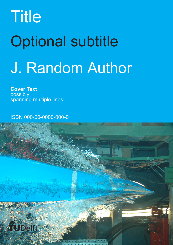# Title Optional subtitle J. Random Author

**Cover Text** possibly spanning multiple lines

ISBN 000-00-0000-000-0

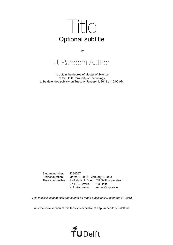

by

J. Random Author

to obtain the degree of Master of Science at the Delft University of Technology, to be defended publicly on Tuesday January 1, 2013 at 10:00 AM.

Student number: 1234567 Project duration: March 1, 2012 – January 1, 2013 Thesis committee: Prof. dr. ir. J. Doe, TU Delft, supervisor Dr. E. L. Brown, TU Delft Ir. A. Aaronson, Acme Corporation

*This thesis is confidential and cannot be made public until December 31, 2013.*

An electronic version of this thesis is available at [http://repository.tudelft.nl/.](http://repository.tudelft.nl/)

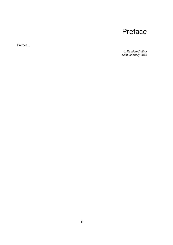## Preface

Preface…

*J. Random Author Delft, January 2013*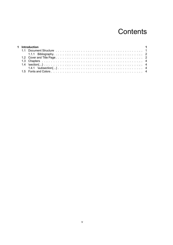## **Contents**

|  | 1 Introduction |  |
|--|----------------|--|
|  |                |  |
|  |                |  |
|  |                |  |
|  |                |  |
|  |                |  |
|  |                |  |
|  |                |  |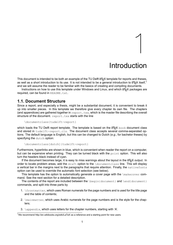## Introduction

1

<span id="page-8-0"></span>This document is intended to be both an example of the TU Delft LATEX template for reports and theses, as well as a short introduction to its use. It is not intended to be a general introduction to  $\cancel{\text{ETr}}\times$  itself,<sup>[1](#page-8-2)</sup> and we will assume the reader to be familiar with the basics of creating and compiling documents.

Instructions on how to use this template under Windows and Linux, and which LATEX packages are required, can be found in README.txt.

#### <span id="page-8-1"></span>**1.1. Document Structure**

Since a report, and especially a thesis, might be a substantial document, it is convenient to break it up into smaller pieces. In this template we therefore give every chapter its own file. The chapters (and appendices) are gathered together in  $report.tex$ , which is the master file describing the overall structure of the document. report.tex starts with the line

```
\documentclass{tudelft-report}
```
which loads the TU Delft report template. The template is based on the  $\mathbb{E} T_F X$  book document class and stored in tudelft-report.cls. The document class accepts several comma-separated options. The default language is English, but this can be changed to Dutch (*e.g.*, for bachelor theses) by specifying the dutch option:

```
\documentclass[dutch]{tudelft-report}
```
Furthermore, hyperlinks are shown in blue, which is convenient when reader the report on a computer, but can be expensive when printing. They can be turned black with the  $print$  option. This will also turn the headers black instead of cyan.

If the document becomes large, it is easy to miss warnings about the layout in the LATEX output. In order to locate problem areas, add the draft option to the \documentclass line. This will display a vertical bar in the margins next to the paragraphs that require attention. Finally, the nativefonts option can be used to override the automatic font selection (see below).

This template has the option to automatically generate a cover page with the  $\lambda$ makecover command. See the next section for a detailed description.

The contents of the report are included between the  $\begin{pmatrix} \frac{d}{d} \end{pmatrix}$  and  $\end{pmatrix}$  and  $\begin{pmatrix} \frac{d}{d} \end{pmatrix}$ commands, and split into three parts by

- 1. \frontmatter, which uses Roman numerals for the page numbers and is used for the title page and the table of contents;
- 2. \mainmatter, which uses Arabic numerals for the page numbers and is the style for the chapters;
- 3.  $\alpha$  appendix, which uses letters for the chapter numbers, starting with 'A'.

<span id="page-8-2"></span><sup>1</sup>We recommend <http://en.wikibooks.org/wiki/LaTeX> as a reference and a starting point for new users.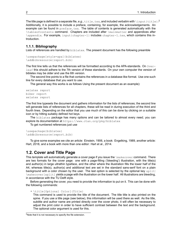The title page is defined in a separate file, e.g., title.tex, and included verbatim with \input{title}.<sup>[2](#page-9-2)</sup> Additionally, it is possible to include a preface, containing, for example, the acknowledgements. An example can be found in  $preface.tex.$  The table of contents is generated automatically with the \tableofcontents command. Chapters are included after \mainmatter and appendices after \appendix. For example, input{chapter-1} includes chapter-1.tex, which contains this introduction.

#### <span id="page-9-0"></span>**1.1.1. Bibliography**

Lists of references are handled by biblatex. The present document has the following preamble

```
\usepackage[style=apa]{biblatex}
\addbibresource{report.bib}
```
The first line tells us that the references will be formatted according to the APA-standards. On  $\sigma$ verleaf this should adhere to the 7th version of these standards. On your own computer the version of biblatex may be older and use the 6th version.

The second line points to a file that contains the references in a database like format. Use one such line for every database that you want to use.

The general way this works is as follows Using the present document as an example):

```
xelatex report
biber report
xelatex report
```
The first line typesets the document and gathers information for the lists of references; the second line will generate lists of references for all chapters, these will be read in during execution of the third and fourth lines. Depending on the editor that you use much of this can be done by clicking on a suitable icon or by hitting suitably defined hot keys.

The biblatex package has many options and can be tailored to almost every need; you can explore its documentation at https://www.ctan.org/pkg/biblatex

To get numbered references just use

```
\usepackage{biblatex}
\addbibresource{report.bib}
```
To give some examples we cite an article: Einstein, [1906](#page-14-0), a book: Engelking, [1989,](#page-14-1) another article: Hart, [2018,](#page-14-2) and a book with more than one editor: Hart et al., [2014](#page-14-3).

#### <span id="page-9-1"></span>**1.2. Cover and Title Page**

This template will automatically generate a cover page if you issue the *\makecover* command. There are two formats for the cover page: one with a page-filling ('bleeding') illustration, with the title(s) and author(s) in large ultrathin typeface, and the other where the illustration fills the lower half of the A4, whereas title(s), author(s) and additional text are set in the standard sans-serif font on a plain background with a color chosen by the user. The last option is selected by the optional key  $split$ : \makecover[split] yields a page with the illustration on the lower half. All illustrations are bleeding, in accordance with the TU Delft style.

Before generating the cover, you need to provide the information to put on it. This can be done with the following commands:

• \title[Optional Color]{Title}

This command is used to provide the title of the document. The title title is also printed on the spine. If you use a title page (see below), this information will be used there as well. As the title, subtitle and author name are printed directly over the cover photo, it will often be necessary to adjust the print color in order to have sufficient contrast between the text and the background. The optional color argument is used for this.

<span id="page-9-2"></span><sup>2</sup>Note that it is not necessary to specify the file extension.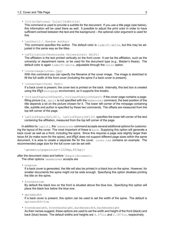• \title[Optional Color]{Subtitle}

This command is used to provide a subtitle for the document. If you use a title page (see below), this information will be used there as well. It possible to adjust the print color in order to have sufficient contrast between the text and the background – the optional color argument is used for this.

• \author{J.\ Random Author}

This command specifies the author. The default color is tudelft-white, but this may be adjusted in the same way as the titles.

• \affiliation{Technische Universiteit Delft}

The affiliation is the text printed vertically on the front cover. It can be the affiliation, such as the university or department name, or be used for the document type (*e.g.*, Master's thesis). The default color is again tudelft-white, adjustable through the color option.

• \coverimage{cover.jpg}

With this command you can specify the filename of the cover image. The image is stretched to fill the full width of the front cover (including the spine if a back cover is present).

• \covertext{Cover Text}

If a back cover is present, the cover text is printed on the back. Internally, this text box is created using the  $\text{ATEX}$  minipage environment, so it supports line breaks.

- \titleoffsetx{OffsetX},\titleoffsety{OffsetY} If the cover page contains a pagefilling picture (i.e.,  $split$  is not specified with the  $makecover$  command, the best position of the title depends a lot on the picture chosen for it. The lower left corner of the minipage containing title, subtitle and author is specified by these two commands. The offsets are measured from the top left corner of the page.
- \afiloffsetx{AfilX\}, \afiloffsety{AfilY} specifies the lower left corner of the text containing the affiliation, measured from the top left corner of the page.

In addition to  $[split]$ , the  $\backslash$ makecover command accepts several additional options for customizing the layout of the cover. The most important of these is back. Supplying this option will generate a back cover as well as a front, including the spine. Since this requires a page size slightly larger than twice A4 (to make room for the spine), and  $\mathbb{A}E$  does not support different page sizes within the same document, it is wise to create a separate file for the cover. cover.tex contains an example. The recommended page size for the full cover can be set with

\geometry{papersize={1226bp,851bp}}

after the document class and before \begin{document}.

The other options \makecover accepts are

• nospine

If a back cover is generated, the title will also be printed in a black box on the spine. However, for smaller documents the spine might not be wide enough. Specifying this option disables printing the title on the spine.

• frontbottom

By default the black box on the front is situated above the blue box. Specifying this option will place the black box below the blue one.

• spinewidth

If a back cover is present, this option can be used to set the width of the spine. The default is spinewidth=1cm.

• frontboxwidth, frontboxheight, backboxwidth, backboxheight As their names suggest, these options are used to set the width and height of the front (black) and back (blue) boxes. The default widths and heights are 4.375in and 2.1875in, respectively.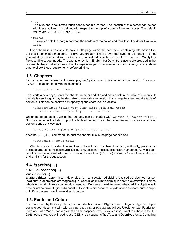```
• x, y
```
The blue and black boxes touch each other in a corner. The location of this corner can be set with these options. It is defined with respect to the top left corner of the front cover. The default values are  $x=0.8125$ in and  $y=3$ in.

• margin

This option sets the margin between the borders of the boxes and their text. The default value is 12pt.

For a thesis it is desirable to have a title page within the document, containing information like the thesis committee members. To give you greater flexibility over the layout of this page, it is not generated by a command like \makecover, but instead described in the file title.tex. Modify this file according to your needs. The example text is in English, but Dutch translations are provided in the comments. Note that for a thesis, the title page is subject to requirements which differ by faculty. Make sure to check these requirements before printing.

#### <span id="page-11-0"></span>**1.3. Chapters**

Each chapter has its own file. For example, the  $\mathbb{E}T$  source of this chapter can be found in chapter-1.tex. A chapter starts with the command

\chapter{Chapter title}

This starts a new page, prints the chapter number and title and adds a link in the table of contents. If the title is very long, it may be desirable to use a shorter version in the page headers and the table of contents. This can be achieved by specifying the short title in brackets:

\chapter[Short title]{Very long title with many words which could not possibly fit on one line}

Unnumbered chapters, such as the preface, can be created with  $\lambda$ chapter\*{Chapter title}. Such a chapter will not show up in the table of contents or in the page header. To create a table of contents entry anyway, add

\addcontentsline{toc}{chapter}{Chapter title}

after the **\chapter** command. To print the chapter title in the page header, add

\setheader{Chapter title}

Chapters are subdivided into sections, subsections, subsubsections, and, optionally, paragraphs and subparagraphs. All can have a title, but only sections and subsections are numbered. As with chapters, the numbering can be turned off by using  $\setminus$  section\*{ $\ldots$ }, instead of  $\setminus$  section{ $\ldots$ }, and similarly for the subsection.

### <span id="page-11-1"></span>**1.4. \section{…}**

#### <span id="page-11-2"></span>**1.4.1. \subsection{…}**

\subsubsection{…}

**\paragraph{…}** Lorem ipsum dolor sit amet, consectetur adipisicing elit, sed do eiusmod tempor incididunt ut labore et dolore magna aliqua. Ut enim ad minim veniam, quis nostrud exercitation ullamco laboris nisi ut aliquip ex ea commodo consequat. Duis aute irure dolor in reprehenderit in voluptate velit esse cillum dolore eu fugiat nulla pariatur. Excepteur sint occaecat cupidatat non proident, sunt in culpa qui officia deserunt mollit anim id est laborum.

#### <span id="page-11-3"></span>**1.5. Fonts and Colors**

The fonts used by this template depend on which version of LATEX you use. Regular LATEX, *i.e.*, if you compile your document with with latex, pslatex or pdflatex, will use Utopia for text, Fourier for math and Latin Modern for sans-serif and monospaced text. However, if you want to adhere to the TU Delft house style, you will need to use X<u>⊣</u>AT<sub>E</sub>X, as it supports TrueType and OpenType fonts. Compiling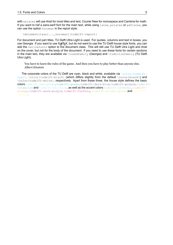with xelatex will use Arial for most titles and text, Courier New for monospace and Cambria for math. If you want to haf a sans-serif font for the main text, while using latex, pslatex or pdflatex, you can use the option noroman in the report style:

\documentclass[...,noroman]{tudelft-report}

For document and part titles, TU Delft Ultra Light is used. For quotes, columns and text in boxes, you use Georgia. If you want to use X<u>⊣</u>AT<sub>E</sub>X, but do not want to use the TU Delft house style fonts, you can add the nativefonts option to the document class. This will still use TU Delft Utra Light and Arial on the cover, but not for the body of the document. If you need to use these fonts for certain sections in the main text, they are available via \tudrmfamily (Georgia) and \tudtitlefamily (TU Delft Utra Light).

You have to learn the rules of the game. And then you have to play better than anyone else. *Albert Einstein*

The corporate colors of the TU Delft are cyan, black and white, available via  $\cdot$ color{tudelft- $\cyan\}$ , \color{tudelft-black} (which differs slightly from the default \color{black}) and \color{tudelft-white}, respectively. Apart from these three, the house style defines the basic colors tudelft-sea-green, tudelft-green, tudelft-dark-blue, tudelft-purple, tudelftturquoise and tudelft-sky-blue, as well as the accent colors tudelft-lavendel, tudelftorange, tudelft-warm-purple, tudelft-fuchsia, tudelft-bright-green and tudelftyellow.